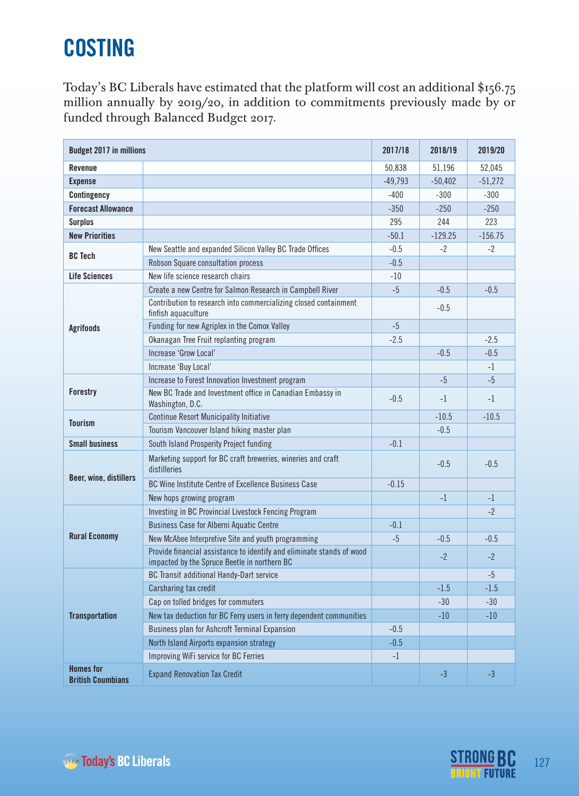## **COSTING**

Today's BC Liberals have estimated that the platform will cost an additional \$156.75 million annually by 2019/20, in addition to commitments previously made by or funded through Balanced Budget 2017.

| <b>Budget 2017 in millions</b>               |                                                                                                                       | 2017/18   | 2018/19   | 2019/20   |
|----------------------------------------------|-----------------------------------------------------------------------------------------------------------------------|-----------|-----------|-----------|
| Revenue                                      |                                                                                                                       | 50,838    | 51,196    | 52,045    |
| <b>Expense</b>                               |                                                                                                                       | $-49,793$ | $-50,402$ | $-51,272$ |
| Contingency                                  |                                                                                                                       | $-400$    | $-300$    | $-300$    |
| <b>Forecast Allowance</b>                    |                                                                                                                       | $-350$    | $-250$    | $-250$    |
| <b>Surplus</b>                               |                                                                                                                       | 295       | 244       | 223       |
| <b>New Priorities</b>                        |                                                                                                                       | $-50.1$   | $-129.25$ | $-156.75$ |
| <b>BC</b> Tech                               | New Seattle and expanded Silicon Valley BC Trade Offices                                                              | $-0.5$    | $-2$      | $-2$      |
|                                              | Robson Square consultation process                                                                                    | $-0.5$    |           |           |
| <b>Life Sciences</b>                         | New life science research chairs                                                                                      | $-10$     |           |           |
|                                              | Create a new Centre for Salmon Research in Campbell River                                                             | $-5$      | $-0.5$    | $-0.5$    |
| <b>Agrifoods</b>                             | Contribution to research into commercializing closed containment<br>finfish aquaculture                               |           | $-0.5$    |           |
|                                              | Funding for new Agriplex in the Comox Valley                                                                          | $-5$      |           |           |
|                                              | Okanagan Tree Fruit replanting program                                                                                | $-2.5$    |           | $-2.5$    |
|                                              | Increase 'Grow Local'                                                                                                 |           | $-0.5$    | $-0.5$    |
|                                              | Increase 'Buy Local'                                                                                                  |           |           | $-1$      |
| <b>Forestry</b>                              | Increase to Forest Innovation Investment program                                                                      |           | $-5$      | $-5$      |
|                                              | New BC Trade and Investment office in Canadian Embassy in<br>Washington, D.C.                                         | $-0.5$    | $-1$      | $-1$      |
| <b>Tourism</b>                               | <b>Continue Resort Municipality Initiative</b>                                                                        |           | $-10.5$   | $-10.5$   |
|                                              | Tourism Vancouver Island hiking master plan                                                                           |           | $-0.5$    |           |
| <b>Small business</b>                        | South Island Prosperity Project funding                                                                               | $-0.1$    |           |           |
| Beer, wine, distillers                       | Marketing support for BC craft breweries, wineries and craft<br>distilleries                                          |           | $-0.5$    | $-0.5$    |
|                                              | BC Wine Institute Centre of Excellence Business Case                                                                  | $-0.15$   |           |           |
|                                              | New hops growing program                                                                                              |           | $-1$      | $-1$      |
|                                              | Investing in BC Provincial Livestock Fencing Program                                                                  |           |           | $-2$      |
| <b>Rural Economy</b>                         | <b>Business Case for Alberni Aquatic Centre</b>                                                                       | $-0.1$    |           |           |
|                                              | New McAbee Interpretive Site and youth programming                                                                    | $-5$      | $-0.5$    | $-0.5$    |
|                                              | Provide financial assistance to identify and eliminate stands of wood<br>impacted by the Spruce Beetle in northern BC |           | $-2$      | $-2$      |
| <b>Transportation</b>                        | BC Transit additional Handy-Dart service                                                                              |           |           | -5        |
|                                              | Carsharing tax credit                                                                                                 |           | $-1.5$    | $-1.5$    |
|                                              | Cap on tolled bridges for commuters                                                                                   |           | $-30$     | $-30$     |
|                                              | New tax deduction for BC Ferry users in ferry dependent communities                                                   |           | $-10$     | $-10$     |
|                                              | Business plan for Ashcroft Terminal Expansion                                                                         | $-0.5$    |           |           |
|                                              | North Island Airports expansion strategy                                                                              | $-0.5$    |           |           |
|                                              | Improving WiFi service for BC Ferries                                                                                 | $-1$      |           |           |
| <b>Homes</b> for<br><b>British Coumbians</b> | <b>Expand Renovation Tax Credit</b>                                                                                   |           | $-3$      | $-3$      |